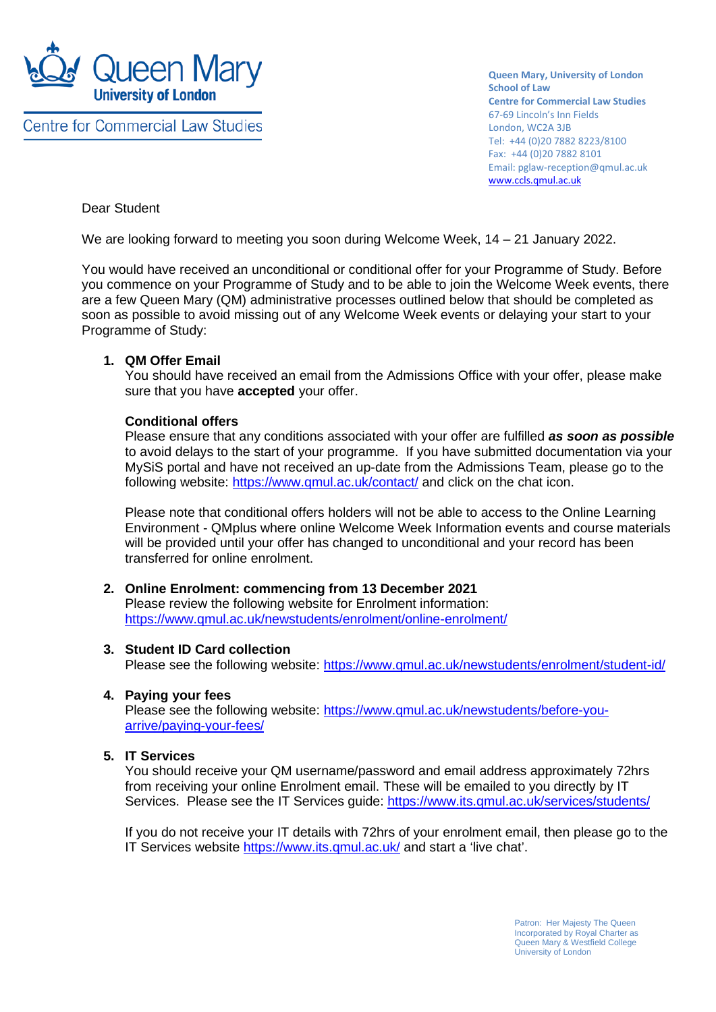

**Centre for Commercial Law Studies** 

**Queen Mary, University of London School of Law Centre for Commercial Law Studies** 67-69 Lincoln's Inn Fields London, WC2A 3JB Tel: +44 (0)20 7882 8223/8100 Fax: +44 (0)20 7882 8101 Email: pglaw-reception@qmul.ac.uk [www.ccls.qmul.ac.uk](http://www.ccls.qmul.ac.uk/)

## Dear Student

We are looking forward to meeting you soon during Welcome Week, 14 – 21 January 2022.

You would have received an unconditional or conditional offer for your Programme of Study. Before you commence on your Programme of Study and to be able to join the Welcome Week events, there are a few Queen Mary (QM) administrative processes outlined below that should be completed as soon as possible to avoid missing out of any Welcome Week events or delaying your start to your Programme of Study:

## **1. QM Offer Email**

You should have received an email from the Admissions Office with your offer, please make sure that you have **accepted** your offer.

## **Conditional offers**

Please ensure that any conditions associated with your offer are fulfilled *as soon as possible* to avoid delays to the start of your programme. If you have submitted documentation via your MySiS portal and have not received an up-date from the Admissions Team, please go to the following website: https://www.gmul.ac.uk/contact/ and click on the chat icon.

Please note that conditional offers holders will not be able to access to the Online Learning Environment - QMplus where online Welcome Week Information events and course materials will be provided until your offer has changed to unconditional and your record has been transferred for online enrolment.

# **2. Online Enrolment: commencing from 13 December 2021**

Please review the following website for Enrolment information: <https://www.qmul.ac.uk/newstudents/enrolment/online-enrolment/>

### **3. Student ID Card collection**

Please see the following website:<https://www.qmul.ac.uk/newstudents/enrolment/student-id/>

### **4. Paying your fees**

Please see the following website: [https://www.qmul.ac.uk/newstudents/before-you](https://www.qmul.ac.uk/newstudents/before-you-arrive/paying-your-fees/)[arrive/paying-your-fees/](https://www.qmul.ac.uk/newstudents/before-you-arrive/paying-your-fees/)

## **5. IT Services**

You should receive your QM username/password and email address approximately 72hrs from receiving your online Enrolment email. These will be emailed to you directly by IT Services. Please see the IT Services guide:<https://www.its.qmul.ac.uk/services/students/>

If you do not receive your IT details with 72hrs of your enrolment email, then please go to the IT Services website<https://www.its.qmul.ac.uk/> and start a 'live chat'.